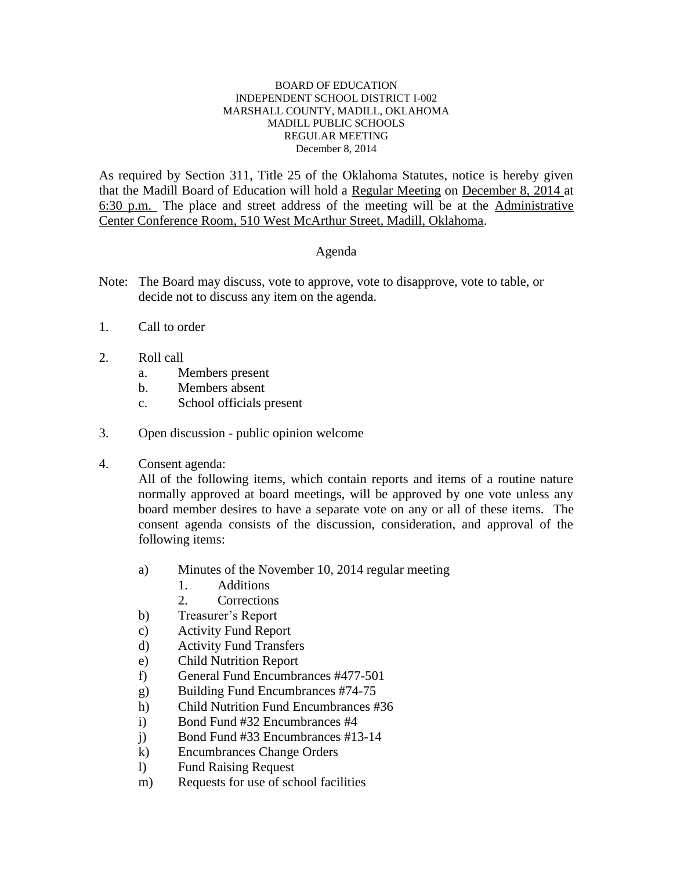## BOARD OF EDUCATION INDEPENDENT SCHOOL DISTRICT I-002 MARSHALL COUNTY, MADILL, OKLAHOMA MADILL PUBLIC SCHOOLS REGULAR MEETING December 8, 2014

As required by Section 311, Title 25 of the Oklahoma Statutes, notice is hereby given that the Madill Board of Education will hold a Regular Meeting on December 8, 2014 at 6:30 p.m. The place and street address of the meeting will be at the Administrative Center Conference Room, 510 West McArthur Street, Madill, Oklahoma.

## Agenda

- Note: The Board may discuss, vote to approve, vote to disapprove, vote to table, or decide not to discuss any item on the agenda.
- 1. Call to order
- 2. Roll call
	- a. Members present
	- b. Members absent
	- c. School officials present
- 3. Open discussion public opinion welcome
- 4. Consent agenda:

All of the following items, which contain reports and items of a routine nature normally approved at board meetings, will be approved by one vote unless any board member desires to have a separate vote on any or all of these items. The consent agenda consists of the discussion, consideration, and approval of the following items:

- a) Minutes of the November 10, 2014 regular meeting
	- 1. Additions
	- 2. Corrections
- b) Treasurer's Report
- c) Activity Fund Report
- d) Activity Fund Transfers
- e) Child Nutrition Report
- f) General Fund Encumbrances #477-501
- g) Building Fund Encumbrances #74-75
- h) Child Nutrition Fund Encumbrances #36
- i) Bond Fund #32 Encumbrances #4
- j) Bond Fund #33 Encumbrances #13-14
- k) Encumbrances Change Orders
- l) Fund Raising Request
- m) Requests for use of school facilities